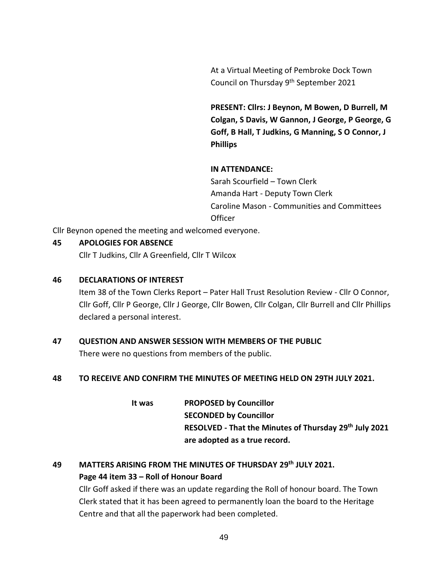At a Virtual Meeting of Pembroke Dock Town Council on Thursday 9<sup>th</sup> September 2021

**PRESENT: Cllrs: J Beynon, M Bowen, D Burrell, M Colgan, S Davis, W Gannon, J George, P George, G Goff, B Hall, T Judkins, G Manning, S O Connor, J Phillips**

## **IN ATTENDANCE:**

Sarah Scourfield – Town Clerk Amanda Hart - Deputy Town Clerk Caroline Mason - Communities and Committees **Officer** 

Cllr Beynon opened the meeting and welcomed everyone.

## **45 APOLOGIES FOR ABSENCE**

Cllr T Judkins, Cllr A Greenfield, Cllr T Wilcox

#### **46 DECLARATIONS OF INTEREST**

Item 38 of the Town Clerks Report – Pater Hall Trust Resolution Review - Cllr O Connor, Cllr Goff, Cllr P George, Cllr J George, Cllr Bowen, Cllr Colgan, Cllr Burrell and Cllr Phillips declared a personal interest.

# **47 QUESTION AND ANSWER SESSION WITH MEMBERS OF THE PUBLIC** There were no questions from members of the public.

#### **48 TO RECEIVE AND CONFIRM THE MINUTES OF MEETING HELD ON 29TH JULY 2021.**

**It was PROPOSED by Councillor SECONDED by Councillor RESOLVED - That the Minutes of Thursday 29th July 2021 are adopted as a true record.**

# **49 MATTERS ARISING FROM THE MINUTES OF THURSDAY 29th JULY 2021. Page 44 item 33 – Roll of Honour Board**

Cllr Goff asked if there was an update regarding the Roll of honour board. The Town Clerk stated that it has been agreed to permanently loan the board to the Heritage Centre and that all the paperwork had been completed.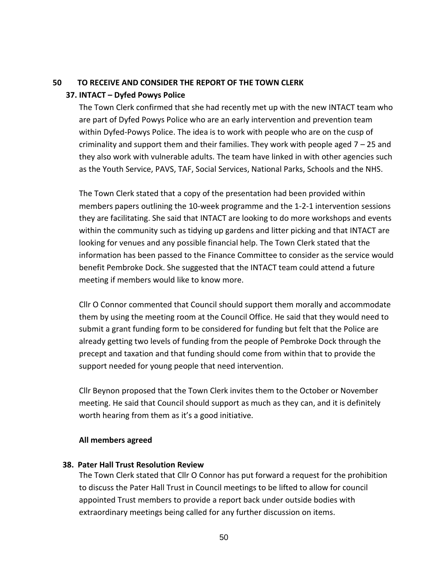#### **50 TO RECEIVE AND CONSIDER THE REPORT OF THE TOWN CLERK**

#### **37. INTACT – Dyfed Powys Police**

The Town Clerk confirmed that she had recently met up with the new INTACT team who are part of Dyfed Powys Police who are an early intervention and prevention team within Dyfed-Powys Police. The idea is to work with people who are on the cusp of criminality and support them and their families. They work with people aged 7 – 25 and they also work with vulnerable adults. The team have linked in with other agencies such as the Youth Service, PAVS, TAF, Social Services, National Parks, Schools and the NHS.

The Town Clerk stated that a copy of the presentation had been provided within members papers outlining the 10-week programme and the 1-2-1 intervention sessions they are facilitating. She said that INTACT are looking to do more workshops and events within the community such as tidying up gardens and litter picking and that INTACT are looking for venues and any possible financial help. The Town Clerk stated that the information has been passed to the Finance Committee to consider as the service would benefit Pembroke Dock. She suggested that the INTACT team could attend a future meeting if members would like to know more.

Cllr O Connor commented that Council should support them morally and accommodate them by using the meeting room at the Council Office. He said that they would need to submit a grant funding form to be considered for funding but felt that the Police are already getting two levels of funding from the people of Pembroke Dock through the precept and taxation and that funding should come from within that to provide the support needed for young people that need intervention.

Cllr Beynon proposed that the Town Clerk invites them to the October or November meeting. He said that Council should support as much as they can, and it is definitely worth hearing from them as it's a good initiative.

#### **All members agreed**

#### **38. Pater Hall Trust Resolution Review**

The Town Clerk stated that Cllr O Connor has put forward a request for the prohibition to discuss the Pater Hall Trust in Council meetings to be lifted to allow for council appointed Trust members to provide a report back under outside bodies with extraordinary meetings being called for any further discussion on items.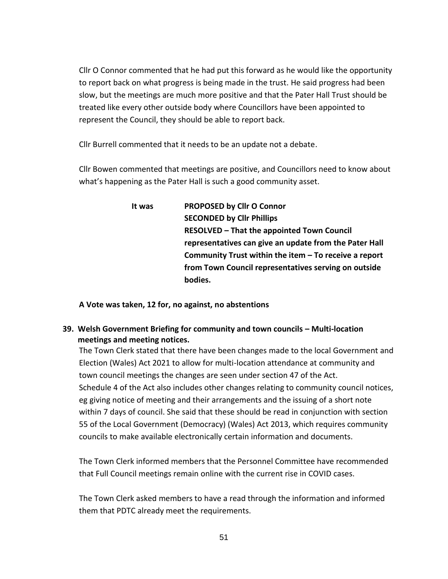Cllr O Connor commented that he had put this forward as he would like the opportunity to report back on what progress is being made in the trust. He said progress had been slow, but the meetings are much more positive and that the Pater Hall Trust should be treated like every other outside body where Councillors have been appointed to represent the Council, they should be able to report back.

Cllr Burrell commented that it needs to be an update not a debate.

Cllr Bowen commented that meetings are positive, and Councillors need to know about what's happening as the Pater Hall is such a good community asset.

> **It was PROPOSED by Cllr O Connor SECONDED by Cllr Phillips RESOLVED – That the appointed Town Council representatives can give an update from the Pater Hall Community Trust within the item – To receive a report from Town Council representatives serving on outside bodies.**

**A Vote was taken, 12 for, no against, no abstentions**

**39. Welsh Government Briefing for community and town councils – Multi-location meetings and meeting notices.**

The Town Clerk stated that there have been changes made to the local Government and Election (Wales) Act 2021 to allow for multi-location attendance at community and town council meetings the changes are seen under section 47 of the Act. Schedule 4 of the Act also includes other changes relating to community council notices, eg giving notice of meeting and their arrangements and the issuing of a short note within 7 days of council. She said that these should be read in conjunction with section 55 of the Local Government (Democracy) (Wales) Act 2013, which requires community councils to make available electronically certain information and documents.

The Town Clerk informed members that the Personnel Committee have recommended that Full Council meetings remain online with the current rise in COVID cases.

The Town Clerk asked members to have a read through the information and informed them that PDTC already meet the requirements.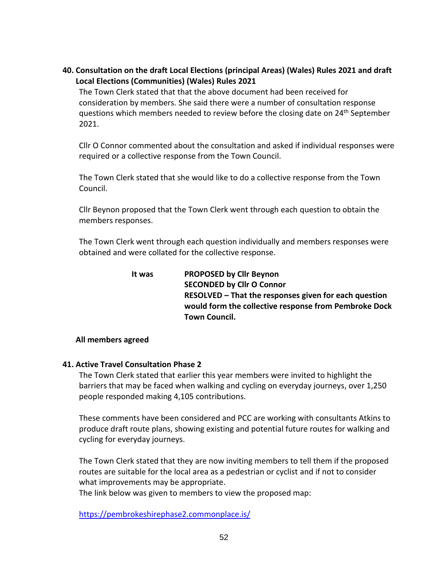**40. Consultation on the draft Local Elections (principal Areas) (Wales) Rules 2021 and draft Local Elections (Communities) (Wales) Rules 2021**

The Town Clerk stated that that the above document had been received for consideration by members. She said there were a number of consultation response questions which members needed to review before the closing date on 24<sup>th</sup> September 2021.

Cllr O Connor commented about the consultation and asked if individual responses were required or a collective response from the Town Council.

The Town Clerk stated that she would like to do a collective response from the Town Council.

Cllr Beynon proposed that the Town Clerk went through each question to obtain the members responses.

The Town Clerk went through each question individually and members responses were obtained and were collated for the collective response.

| It was | <b>PROPOSED by Cllr Beynon</b>                        |
|--------|-------------------------------------------------------|
|        | <b>SECONDED by Cllr O Connor</b>                      |
|        | RESOLVED - That the responses given for each question |
|        | would form the collective response from Pembroke Dock |
|        | <b>Town Council.</b>                                  |

## **All members agreed**

## **41. Active Travel Consultation Phase 2**

The Town Clerk stated that earlier this year members were invited to highlight the barriers that may be faced when walking and cycling on everyday journeys, over 1,250 people responded making 4,105 contributions.

These comments have been considered and PCC are working with consultants Atkins to produce draft route plans, showing existing and potential future routes for walking and cycling for everyday journeys.

The Town Clerk stated that they are now inviting members to tell them if the proposed routes are suitable for the local area as a pedestrian or cyclist and if not to consider what improvements may be appropriate.

The link below was given to members to view the proposed map:

<https://pembrokeshirephase2.commonplace.is/>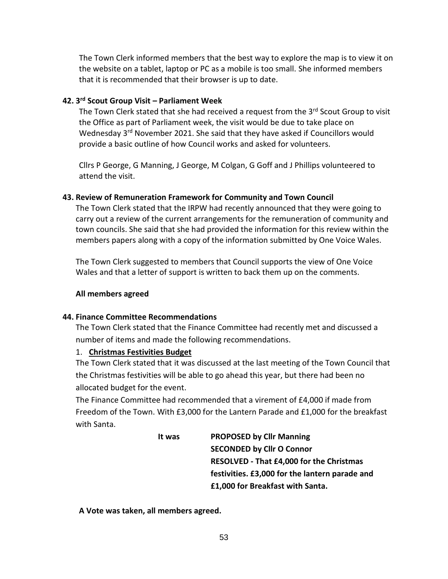The Town Clerk informed members that the best way to explore the map is to view it on the website on a tablet, laptop or PC as a mobile is too small. She informed members that it is recommended that their browser is up to date.

# **42. 3 rd Scout Group Visit – Parliament Week**

The Town Clerk stated that she had received a request from the  $3<sup>rd</sup>$  Scout Group to visit the Office as part of Parliament week, the visit would be due to take place on Wednesday 3<sup>rd</sup> November 2021. She said that they have asked if Councillors would provide a basic outline of how Council works and asked for volunteers.

Cllrs P George, G Manning, J George, M Colgan, G Goff and J Phillips volunteered to attend the visit.

# **43. Review of Remuneration Framework for Community and Town Council**

The Town Clerk stated that the IRPW had recently announced that they were going to carry out a review of the current arrangements for the remuneration of community and town councils. She said that she had provided the information for this review within the members papers along with a copy of the information submitted by One Voice Wales.

The Town Clerk suggested to members that Council supports the view of One Voice Wales and that a letter of support is written to back them up on the comments.

## **All members agreed**

## **44. Finance Committee Recommendations**

The Town Clerk stated that the Finance Committee had recently met and discussed a number of items and made the following recommendations.

# 1. **Christmas Festivities Budget**

The Town Clerk stated that it was discussed at the last meeting of the Town Council that the Christmas festivities will be able to go ahead this year, but there had been no allocated budget for the event.

The Finance Committee had recommended that a virement of £4,000 if made from Freedom of the Town. With £3,000 for the Lantern Parade and £1,000 for the breakfast with Santa.

> **It was PROPOSED by Cllr Manning SECONDED by Cllr O Connor RESOLVED - That £4,000 for the Christmas festivities. £3,000 for the lantern parade and £1,000 for Breakfast with Santa.**

**A Vote was taken, all members agreed.**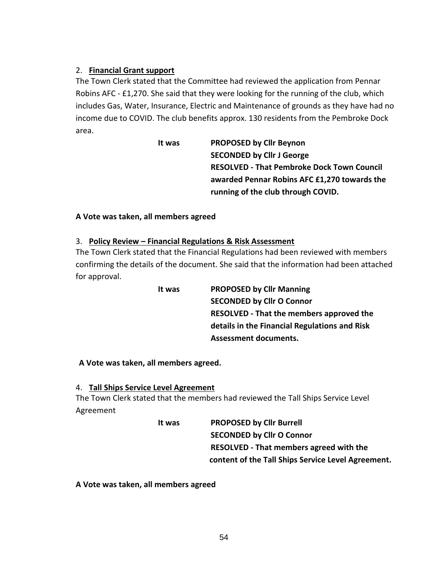# 2. **Financial Grant support**

The Town Clerk stated that the Committee had reviewed the application from Pennar Robins AFC - £1,270. She said that they were looking for the running of the club, which includes Gas, Water, Insurance, Electric and Maintenance of grounds as they have had no income due to COVID. The club benefits approx. 130 residents from the Pembroke Dock area.

> **It was PROPOSED by Cllr Beynon SECONDED by Cllr J George RESOLVED - That Pembroke Dock Town Council awarded Pennar Robins AFC £1,270 towards the running of the club through COVID.**

## **A Vote was taken, all members agreed**

## 3. **Policy Review – Financial Regulations & Risk Assessment**

The Town Clerk stated that the Financial Regulations had been reviewed with members confirming the details of the document. She said that the information had been attached for approval.

> **It was PROPOSED by Cllr Manning SECONDED by Cllr O Connor RESOLVED - That the members approved the details in the Financial Regulations and Risk Assessment documents.**

## **A Vote was taken, all members agreed.**

## 4. **Tall Ships Service Level Agreement**

The Town Clerk stated that the members had reviewed the Tall Ships Service Level Agreement

> **It was PROPOSED by Cllr Burrell SECONDED by Cllr O Connor RESOLVED - That members agreed with the content of the Tall Ships Service Level Agreement.**

## **A Vote was taken, all members agreed**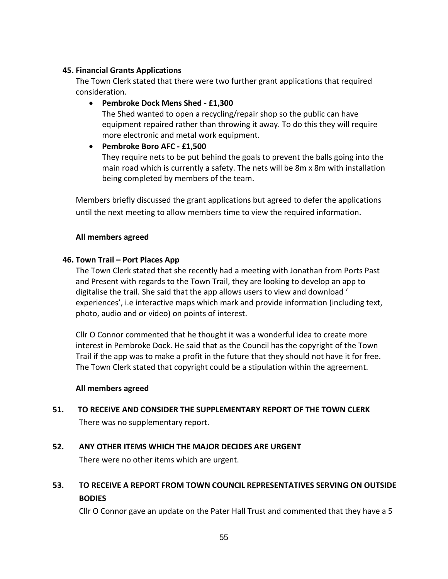## **45. Financial Grants Applications**

The Town Clerk stated that there were two further grant applications that required consideration.

• **Pembroke Dock Mens Shed - £1,300** The Shed wanted to open a recycling/repair shop so the public can have equipment repaired rather than throwing it away. To do this they will require more electronic and metal work equipment.

# • **Pembroke Boro AFC - £1,500**

They require nets to be put behind the goals to prevent the balls going into the main road which is currently a safety. The nets will be 8m x 8m with installation being completed by members of the team.

Members briefly discussed the grant applications but agreed to defer the applications until the next meeting to allow members time to view the required information.

# **All members agreed**

# **46. Town Trail – Port Places App**

The Town Clerk stated that she recently had a meeting with Jonathan from Ports Past and Present with regards to the Town Trail, they are looking to develop an app to digitalise the trail. She said that the app allows users to view and download ' experiences', i.e interactive maps which mark and provide information (including text, photo, audio and or video) on points of interest.

Cllr O Connor commented that he thought it was a wonderful idea to create more interest in Pembroke Dock. He said that as the Council has the copyright of the Town Trail if the app was to make a profit in the future that they should not have it for free. The Town Clerk stated that copyright could be a stipulation within the agreement.

## **All members agreed**

**51. TO RECEIVE AND CONSIDER THE SUPPLEMENTARY REPORT OF THE TOWN CLERK** There was no supplementary report.

# **52. ANY OTHER ITEMS WHICH THE MAJOR DECIDES ARE URGENT**

There were no other items which are urgent.

# **53. TO RECEIVE A REPORT FROM TOWN COUNCIL REPRESENTATIVES SERVING ON OUTSIDE BODIES**

Cllr O Connor gave an update on the Pater Hall Trust and commented that they have a 5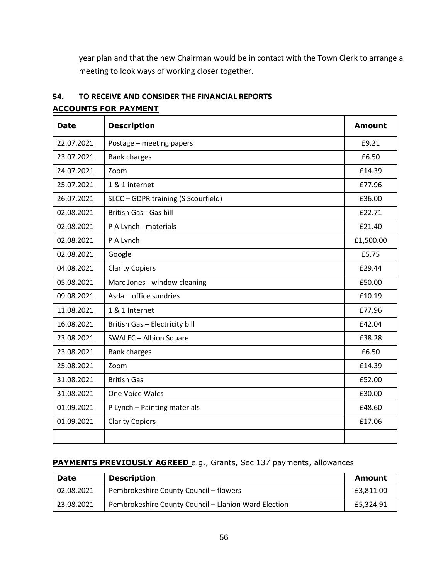year plan and that the new Chairman would be in contact with the Town Clerk to arrange a meeting to look ways of working closer together.

| 54.                         | TO RECEIVE AND CONSIDER THE FINANCIAL REPORTS |
|-----------------------------|-----------------------------------------------|
| <b>ACCOUNTS FOR PAYMENT</b> |                                               |

| <b>Date</b> | <b>Description</b>                  | <b>Amount</b> |
|-------------|-------------------------------------|---------------|
| 22.07.2021  | Postage - meeting papers            | £9.21         |
| 23.07.2021  | <b>Bank charges</b>                 | £6.50         |
| 24.07.2021  | Zoom                                | £14.39        |
| 25.07.2021  | 1 & 1 internet                      | £77.96        |
| 26.07.2021  | SLCC - GDPR training (S Scourfield) | £36.00        |
| 02.08.2021  | British Gas - Gas bill              | £22.71        |
| 02.08.2021  | P A Lynch - materials               | £21.40        |
| 02.08.2021  | P A Lynch                           | £1,500.00     |
| 02.08.2021  | Google                              | £5.75         |
| 04.08.2021  | <b>Clarity Copiers</b>              | £29.44        |
| 05.08.2021  | Marc Jones - window cleaning        | £50.00        |
| 09.08.2021  | Asda - office sundries              | £10.19        |
| 11.08.2021  | 1 & 1 Internet                      | £77.96        |
| 16.08.2021  | British Gas - Electricity bill      | £42.04        |
| 23.08.2021  | <b>SWALEC - Albion Square</b>       | £38.28        |
| 23.08.2021  | <b>Bank charges</b>                 | £6.50         |
| 25.08.2021  | Zoom                                | £14.39        |
| 31.08.2021  | <b>British Gas</b>                  | £52.00        |
| 31.08.2021  | One Voice Wales                     | £30.00        |
| 01.09.2021  | P Lynch - Painting materials        | £48.60        |
| 01.09.2021  | <b>Clarity Copiers</b>              | £17.06        |
|             |                                     |               |

# **PAYMENTS PREVIOUSLY AGREED** e.g., Grants, Sec 137 payments, allowances

| Date       | <b>Description</b>                                   | Amount    |
|------------|------------------------------------------------------|-----------|
| 02.08.2021 | Pembrokeshire County Council - flowers               | £3.811.00 |
| 23.08.2021 | Pembrokeshire County Council - Llanion Ward Election | £5.324.91 |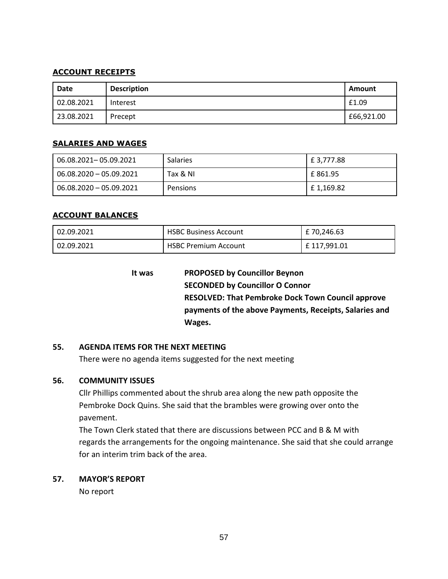## **ACCOUNT RECEIPTS**

| Date       | <b>Description</b> | Amount     |
|------------|--------------------|------------|
| 02.08.2021 | Interest           | £1.09      |
| 23.08.2021 | Precept            | £66,921.00 |

#### **SALARIES AND WAGES**

| 06.08.2021-05.09.2021     | <b>Salaries</b> | E 3,777.88 |
|---------------------------|-----------------|------------|
| 06.08.2020 - 05.09.2021   | Tax & NI        | E 861.95   |
| $06.08.2020 - 05.09.2021$ | Pensions        | E 1.169.82 |

## **ACCOUNT BALANCES**

| 02.09.2021 | <b>HSBC Business Account</b> | £ 70,246.63  |
|------------|------------------------------|--------------|
| 02.09.2021 | <b>HSBC Premium Account</b>  | £ 117,991.01 |

| It was | <b>PROPOSED by Councillor Beynon</b>                     |
|--------|----------------------------------------------------------|
|        | <b>SECONDED by Councillor O Connor</b>                   |
|        | <b>RESOLVED: That Pembroke Dock Town Council approve</b> |
|        | payments of the above Payments, Receipts, Salaries and   |
|        | Wages.                                                   |

## **55. AGENDA ITEMS FOR THE NEXT MEETING**

There were no agenda items suggested for the next meeting

## **56. COMMUNITY ISSUES**

Cllr Phillips commented about the shrub area along the new path opposite the Pembroke Dock Quins. She said that the brambles were growing over onto the pavement.

The Town Clerk stated that there are discussions between PCC and B & M with regards the arrangements for the ongoing maintenance. She said that she could arrange for an interim trim back of the area.

## **57. MAYOR'S REPORT**

No report